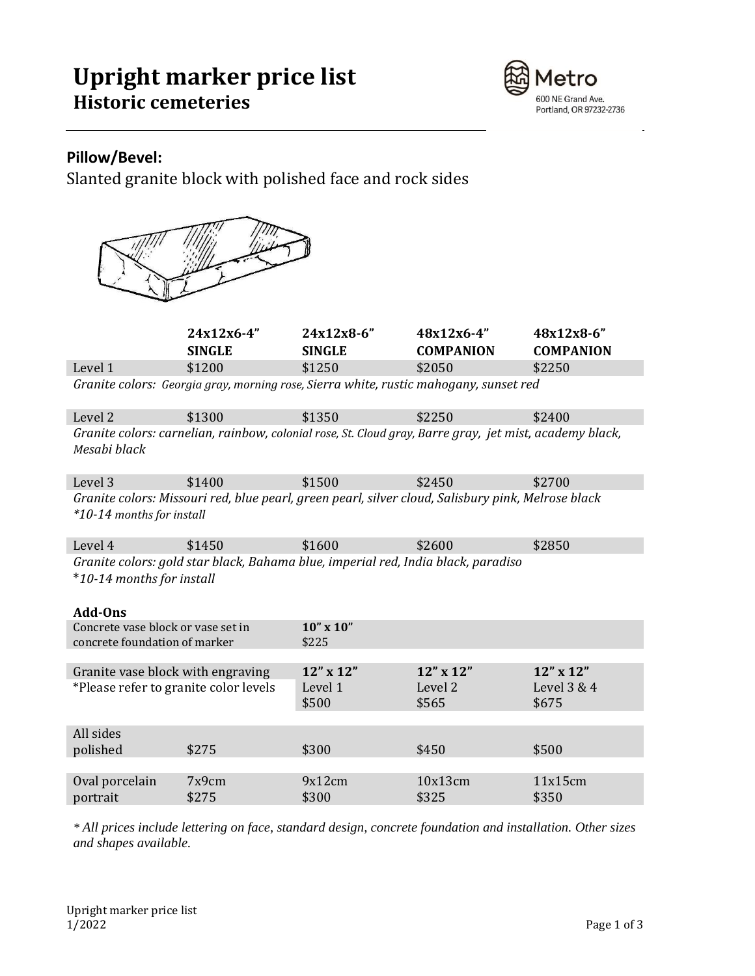## **Upright marker price list Historic cemeteries**



### **Pillow/Bevel:**

Slanted granite block with polished face and rock sides



|                                                                                                                                 | 24x12x6-4"<br><b>SINGLE</b> | 24x12x8-6"<br><b>SINGLE</b>                                                       | 48x12x6-4"<br><b>COMPANION</b>                                                        | 48x12x8-6"<br><b>COMPANION</b> |  |
|---------------------------------------------------------------------------------------------------------------------------------|-----------------------------|-----------------------------------------------------------------------------------|---------------------------------------------------------------------------------------|--------------------------------|--|
| Level 1                                                                                                                         | \$1200                      | \$1250                                                                            | \$2050                                                                                | \$2250                         |  |
|                                                                                                                                 |                             |                                                                                   | Granite colors: Georgia gray, morning rose, Sierra white, rustic mahogany, sunset red |                                |  |
| Level 2                                                                                                                         | \$1300                      | \$1350                                                                            | \$2250                                                                                | \$2400                         |  |
| Granite colors: carnelian, rainbow, colonial rose, St. Cloud gray, Barre gray, jet mist, academy black,<br>Mesabi black         |                             |                                                                                   |                                                                                       |                                |  |
| Level 3                                                                                                                         | \$1400                      | \$1500                                                                            | \$2450                                                                                | \$2700                         |  |
| Granite colors: Missouri red, blue pearl, green pearl, silver cloud, Salisbury pink, Melrose black<br>*10-14 months for install |                             |                                                                                   |                                                                                       |                                |  |
| Level 4                                                                                                                         | \$1450                      | \$1600                                                                            | \$2600                                                                                | \$2850                         |  |
|                                                                                                                                 |                             | Granite colors: gold star black, Bahama blue, imperial red, India black, paradiso |                                                                                       |                                |  |
| *10-14 months for install<br>Add-Ons                                                                                            |                             |                                                                                   |                                                                                       |                                |  |
| Concrete vase block or vase set in                                                                                              |                             | $10''$ x $10''$                                                                   |                                                                                       |                                |  |
| concrete foundation of marker                                                                                                   |                             | \$225                                                                             |                                                                                       |                                |  |
|                                                                                                                                 |                             |                                                                                   |                                                                                       |                                |  |
| Granite vase block with engraving                                                                                               |                             | 12" x 12"                                                                         | $12'' \times 12''$                                                                    | 12" x 12"                      |  |
| *Please refer to granite color levels                                                                                           |                             | Level 1                                                                           | Level 2                                                                               | Level 3 & 4                    |  |
|                                                                                                                                 |                             | \$500                                                                             | \$565                                                                                 | \$675                          |  |
| All sides                                                                                                                       |                             |                                                                                   |                                                                                       |                                |  |
| polished                                                                                                                        | \$275                       | \$300                                                                             | \$450                                                                                 | \$500                          |  |
|                                                                                                                                 |                             |                                                                                   |                                                                                       |                                |  |
| Oval porcelain<br>portrait                                                                                                      | 7x9cm<br>\$275              | 9x12cm<br>\$300                                                                   | 10x13cm<br>\$325                                                                      | 11x15cm<br>\$350               |  |

*\* All prices include lettering on face, standard design, concrete foundation and installation. Other sizes and shapes available.*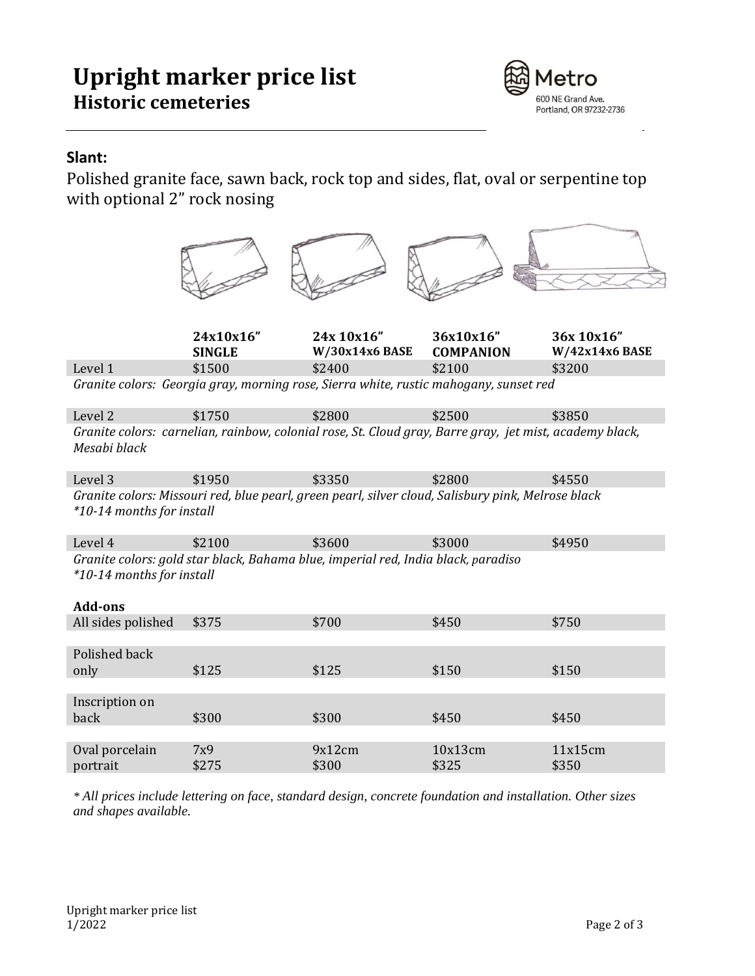# **Upright marker price list Historic cemeteries**



### **Slant:**

Polished granite face, sawn back, rock top and sides, flat, oval or serpentine top with optional 2" rock nosing

|                                             | 24x10x16"     | 24x 10x16"                                                                                              | 36x10x16"        | 36x 10x16"       |
|---------------------------------------------|---------------|---------------------------------------------------------------------------------------------------------|------------------|------------------|
|                                             | <b>SINGLE</b> | $W/30x14x6$ BASE                                                                                        | <b>COMPANION</b> | W/42x14x6 BASE   |
| Level 1                                     | \$1500        | \$2400                                                                                                  | \$2100           | \$3200           |
|                                             |               | Granite colors: Georgia gray, morning rose, Sierra white, rustic mahogany, sunset red                   |                  |                  |
| Level <sub>2</sub>                          | \$1750        | \$2800                                                                                                  | \$2500           | \$3850           |
| Mesabi black                                |               | Granite colors: carnelian, rainbow, colonial rose, St. Cloud gray, Barre gray, jet mist, academy black, |                  |                  |
| Level 3                                     | \$1950        | \$3350                                                                                                  | \$2800           | \$4550           |
| *10-14 months for install                   |               | Granite colors: Missouri red, blue pearl, green pearl, silver cloud, Salisbury pink, Melrose black      |                  |                  |
| Level 4                                     | \$2100        | \$3600                                                                                                  | \$3000           | \$4950           |
| *10-14 months for install<br><b>Add-ons</b> |               | Granite colors: gold star black, Bahama blue, imperial red, India black, paradiso                       |                  |                  |
| All sides polished                          | \$375         | \$700                                                                                                   | \$450            | \$750            |
| Polished back<br>only                       | \$125         | \$125                                                                                                   | \$150            | \$150            |
|                                             |               |                                                                                                         |                  |                  |
| Inscription on<br>back                      | \$300         | \$300                                                                                                   | \$450            | \$450            |
|                                             |               |                                                                                                         |                  |                  |
| Oval porcelain<br>portrait                  | 7x9<br>\$275  | 9x12cm<br>\$300                                                                                         | 10x13cm<br>\$325 | 11x15cm<br>\$350 |
|                                             |               |                                                                                                         |                  |                  |

*\* All prices include lettering on face, standard design, concrete foundation and installation. Other sizes and shapes available.*